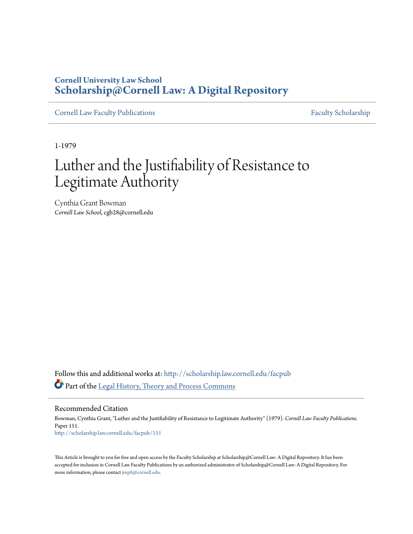## **Cornell University Law School [Scholarship@Cornell Law: A Digital Repository](http://scholarship.law.cornell.edu?utm_source=scholarship.law.cornell.edu%2Ffacpub%2F151&utm_medium=PDF&utm_campaign=PDFCoverPages)**

[Cornell Law Faculty Publications](http://scholarship.law.cornell.edu/facpub?utm_source=scholarship.law.cornell.edu%2Ffacpub%2F151&utm_medium=PDF&utm_campaign=PDFCoverPages) [Faculty Scholarship](http://scholarship.law.cornell.edu/facsch?utm_source=scholarship.law.cornell.edu%2Ffacpub%2F151&utm_medium=PDF&utm_campaign=PDFCoverPages)

1-1979

# Luther and the Justifiability of Resistance to Legitimate Authority

Cynthia Grant Bowman *Cornell Law School*, cgb28@cornell.edu

Follow this and additional works at: [http://scholarship.law.cornell.edu/facpub](http://scholarship.law.cornell.edu/facpub?utm_source=scholarship.law.cornell.edu%2Ffacpub%2F151&utm_medium=PDF&utm_campaign=PDFCoverPages) Part of the [Legal History, Theory and Process Commons](http://network.bepress.com/hgg/discipline/904?utm_source=scholarship.law.cornell.edu%2Ffacpub%2F151&utm_medium=PDF&utm_campaign=PDFCoverPages)

Recommended Citation

Bowman, Cynthia Grant, "Luther and the Justifiability of Resistance to Legitimate Authority" (1979). *Cornell Law Faculty Publications.* Paper 151. [http://scholarship.law.cornell.edu/facpub/151](http://scholarship.law.cornell.edu/facpub/151?utm_source=scholarship.law.cornell.edu%2Ffacpub%2F151&utm_medium=PDF&utm_campaign=PDFCoverPages)

This Article is brought to you for free and open access by the Faculty Scholarship at Scholarship@Cornell Law: A Digital Repository. It has been accepted for inclusion in Cornell Law Faculty Publications by an authorized administrator of Scholarship@Cornell Law: A Digital Repository. For more information, please contact [jmp8@cornell.edu.](mailto:jmp8@cornell.edu)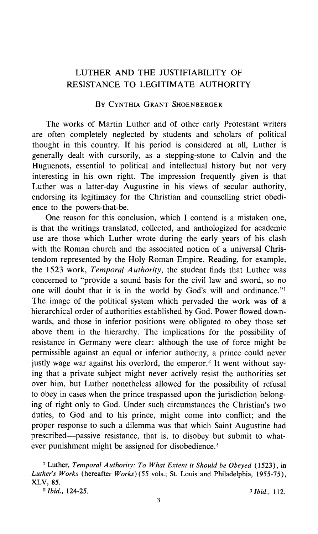### **LUTHER AND THE JUSTIFIABILITY OF RESISTANCE TO LEGITIMATE AUTHORITY**

#### **BY CYNTHIA GRANT SHOENBERGER**

**The works of Martin Luther and of other early Protestant writers are often completely neglected by students and scholars of political thought in this country. If his period is considered at all, Luther is generally dealt with cursorily, as a stepping-stone to Calvin and the Huguenots, essential to political and intellectual history but not very interesting in his own right. The impression frequently given is that Luther was a latter-day Augustine in his views of secular authority, endorsing its legitimacy for the Christian and counselling strict obedience to the powers-that-be.** 

**One reason for this conclusion, which I contend is a mistaken one, is that the writings translated, collected, and anthologized for academic use are those which Luther wrote during the early years of his clash with the Roman church and the associated notion of a universal Christendom represented by the Holy Roman Empire. Reading, for example, the 1523 work, Temporal Authority, the student finds that Luther was concerned to "provide a sound basis for the civil law and sword, so no one will doubt that it is in the world by God's will and ordinance."' The image of the political system which pervaded the work was of a hierarchical order of authorities established by God. Power flowed downwards, and those in inferior positions were obligated to obey those set above them in the hierarchy. The implications for the possibility of resistance in Germany were clear: although the use of force might be permissible against an equal or inferior authority, a prince could never**  justly wage war against his overlord, the emperor.<sup>2</sup> It went without say**ing that a private subject might never actively resist the authorities set over him, but Luther nonetheless allowed for the possibility of refusal to obey in cases when the prince trespassed upon the jurisdiction belonging of right only to God. Under such circumstances the Christian's two duties, to God and to his prince, might come into conflict; and the proper response to such a dilemma was that which Saint Augustine had**  prescribed-passive resistance, that is, to disobey but submit to what**ever punishment might be assigned for disobedience.3** 

**<sup>1</sup> Luther, Temporal Authority: To What Extent it Should be Obeyed (1523), in Luther's Works (hereafter Works) (55 vols.; St. Louis and Philadelphia, 1955-75), XLV, 85. <sup>2</sup>Ibid., 124-25. 3Ibid., 112.**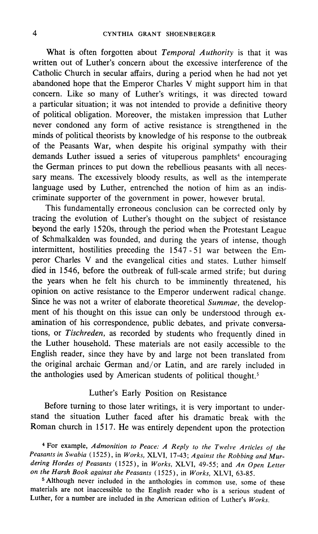**What is often forgotten about Temporal Authority is that it was written out of Luther's concern about the excessive interference of the Catholic Church in secular affairs, during a period when he had not yet abandoned hope that the Emperor Charles V might support him in that concern. Like so many of Luther's writings, it was directed toward a particular situation; it was not intended to provide a definitive theory of political obligation. Moreover, the mistaken impression that Luther never condoned any form of active resistance is strengthened in the minds of political theorists by knowledge of his response to the outbreak of the Peasants War, when despite his original sympathy with their**  demands Luther issued a series of vituperous pamphlets<sup>4</sup> encouraging **the German princes to put down the rebellious peasants with all necessary means. The excessively bloody results, as well as the intemperate**  language used by Luther, entrenched the notion of him as an indis**criminate supporter of the government in power, however brutal.** 

**This fundamentally erroneous conclusion can be corrected only by tracing the evolution of Luther's thought on the subject of resistance beyond the early 1520s, through the period when the Protestant League of Schmalkalden was founded, and during the years of intense, though intermittent, hostilities preceding the 1547-51 war between the Emperor Charles V and the evangelical cities and states. Luther himself died in 1546, before the outbreak of full-scale armed strife; but during the years when he felt his church to be imminently threatened, his opinion on active resistance to the Emperor underwent radical change. Since he was not a writer of elaborate theoretical Summae, the development of his thought on this issue can only be understood through examination of his correspondence, public debates, and private conversations, or Tischreden, as recorded by students who frequently dined in the Luther household. These materials are not easily accessible to the English reader, since they have by and large not been translated from the original archaic German and/or Latin, and are rarely included in the anthologies used by American students of political thought.5** 

#### **Luther's Early Position on Resistance**

**Before turning to those later writings, it is very important to understand the situation Luther faced after his dramatic break with the Roman church in 1517. He was entirely dependent upon the protection** 

**4 For example, Admonition to Peace: A Reply to the Twelve Articles of the Peasants in Swabia (1525), in Works, XLVI, 17-43; Against the Robbing and Murdering Hordes of Peasants (1525), in Works, XLVI, 49-55; and An Open Letter on the Harsh Book against the Peasants (1525), in Works, XLVI, 63-85.** 

**5Although never included in the anthologies in common use, some of these materials are not inaccessible to the English reader who is a serious student of**  Luther, for a number are included in the American edition of Luther's Works.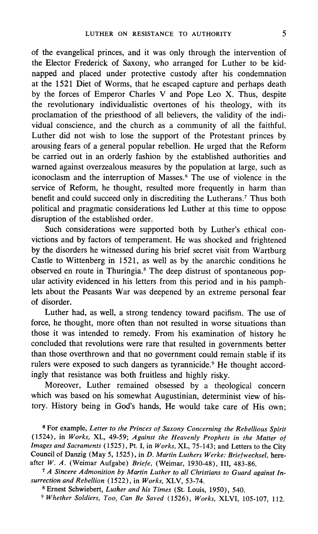**of the evangelical princes, and it was only through the intervention of the Elector Frederick of Saxony, who arranged for Luther to be kidnapped and placed under protective custody after his condemnation at the 1521 Diet of Worms, that he escaped capture and perhaps death by the forces of Emperor Charles V and Pope Leo X. Thus, despite the revolutionary individualistic overtones of his theology, with its proclamation of the priesthood of all believers, the validity of the individual conscience, and the church as a community of all the faithful, Luther did not wish to lose the support of the Protestant princes by arousing fears of a general popular rebellion. He urged that the Reform be carried out in an orderly fashion by the established authorities and warned against overzealous measures by the population at large, such as iconoclasm and the interruption of Masses.6 The use of violence in the service of Reform, he thought, resulted more frequently in harm than benefit and could succeed only in discrediting the Lutherans.7 Thus both political and pragmatic considerations led Luther at this time to oppose disruption of the established order.** 

**Such considerations were supported both by Luther's ethical convictions and by factors of temperament. He was shocked and frightened by the disorders he witnessed during his brief secret visit from Wartburg Castle to Wittenberg in 1521, as well as by the anarchic conditions he observed en route in Thuringia.8 The deep distrust of spontaneous popular activity evidenced in his letters from this period and in his pamphlets about the Peasants War was deepened by an extreme personal fear of disorder.** 

**Luther had, as well, a strong tendency toward pacifism. The use of force, he thought, more often than not resulted in worse situations than those it was intended to remedy. From his examination of history he concluded that revolutions were rare that resulted in governments better than those overthrown and that no government could remain stable if its rulers were exposed to such dangers as tyrannicide.9 He thought accordingly that resistance was both fruitless and highly risky.** 

**Moreover, Luther remained obsessed by a theological concern which was based on his somewhat Augustinian, determinist view of history. History being in God's hands, He would take care of His own;** 

**<sup>6</sup>For example, Letter to the Princes of Saxony Concerning the Rebellious Spirit (1524), in Works, XL, 49-59; Against the Heavenly Prophets in the Matter of Images and Sacraments (1525), Pt. I, in Works, XL, 75-143; and Letters to the City Council of Danzig (May 5, 1525), in D. Martin Luthers Werke: Briefwechsel, hereafter W. A. (Weimar Aufgabe) Briefe, (Weimar, 1930-48), III, 483-86.** 

**7 A Sincere Admonition by Martin Luther to all Christians to Guard against Insurrection and Rebellion (1522), in Works, XLV, 53-74.** 

**8 Ernest Schwiebert, Luther and his Times (St. Louis, 1950), 540.** 

**9 Whether Soldiers, Too, Can Be Saved (1526), Works, XLVI, 105-107, 112.**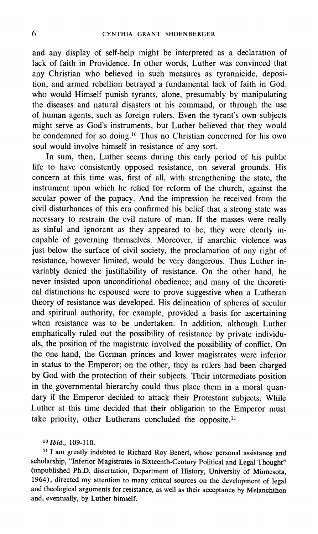**and any display of self-help might be interpreted as a declaration of**  lack of faith in Providence. In other words, Luther was convinced that **any Christian who believed in such measures as tyrannicide, deposition, and armed rebellion betrayed a fundamental lack of faith in God, who would Himself punish tyrants, alone, presumably by manipulating the diseases and natural disasters at his command, or through the use of human agents, such as foreign rulers. Even the tyrant's own subjects might serve as God's instruments, but Luther believed that they would be condemned for so doing.10 Thus no Christian concerned for his own soul would involve himself in resistance of any sort.** 

**In sum, then, Luther seems during this early period of his public life to have consistently opposed resistance, on several grounds. His concern at this time was, first of all, with strengthening the state, the instrument upon which he relied for reform of the church, against the secular power of the papacy. And the impression he received from the civil disturbances of this era confirmed his belief that a strong state was necessary to restrain the evil nature of man. If the masses were really as sinful and ignorant as they appeared to be, they were clearly incapable of governing themselves. Moreover, if anarchic violence was just below the surface of civil society, the proclamation of any right of resistance, however limited, would be very dangerous. Thus Luther invariably denied the justifiability of resistance. On the other hand, he never insisted upon unconditional obedience; and many of the theoretical distinctions he espoused were to prove suggestive when a Lutheran theory of resistance was developed. His delineation of spheres of secular and spiritual authority, for example, provided a basis for ascertaining**  when resistance was to be undertaken. In addition, although Luther **emphatically ruled out the possibility of resistance by private individuals, the position of the magistrate involved the possibility of conflict. On the one hand, the German princes and lower magistrates were inferior in status to the Emperor; on the other, they as rulers had been charged by God with the protection of their subjects. Their intermediate position in the governmental hierarchy could thus place them in a moral quandary if the Emperor decided to attack their Protestant subjects. While Luther at this time decided that their obligation to the Emperor must take priority, other Lutherans concluded the opposite.'1** 

**10 Ibid., 109-110.** 

<sup>11</sup> I am greatly indebted to Richard Roy Benert, whose personal assistance and **scholarship, "Inferior Magistrates in Sixteenth-Century Political and Legal Thought" (unpublished Ph.D. dissertation, Department of History, University of Minnesota, 1964), directed my attention to many critical sources on the development of legal and theological arguments for resistance, as well as their acceptance by Melanchthon and, eventually, by Luther himself.**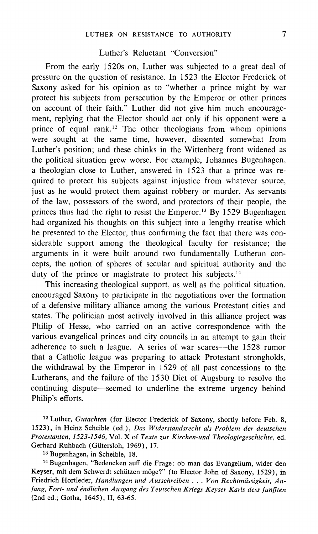#### **Luther's Reluctant "Conversion"**

**From the early 1520s on, Luther was subjected to a great deal of pressure on the question of resistance. In 1523 the Elector Frederick of Saxony asked for his opinion as to "whether a prince might by war protect his subjects from persecution by the Emperor or other princes on account of their faith." Luther did not give him much encouragement, replying that the Elector should act only if his opponent were a prince of equal rank.1' The other theologians from whom opinions were sought at the same time, however, dissented somewhat from Luther's position; and these chinks in the Wittenberg front widened as the political situation grew worse. For example, Johannes Bugenhagen, a theologian close to Luther, answered in 1523 that a prince was required to protect his subjects against injustice from whatever source, just as he would protect them against robbery or murder. As servants of the law, possessors of the sword, and protectors of their people, the princes thus had the right to resist the Emperor.13 By 1529 Bugenhagen had organized his thoughts on this subject into a lengthy treatise which he presented to the Elector, thus confirming the fact that there was considerable support among the theological faculty for resistance; the arguments in it were built around two fundamentally Lutheran concepts, the notion of spheres of secular and spiritual authority and the duty of the prince or magistrate to protect his subjects.14** 

**This increasing theological support, as well as the political situation, encouraged Saxony to participate in the negotiations over the formation of a defensive military alliance among the various Protestant cities and states. The politician most actively involved in this alliance project was Philip of Hesse, who carried on an active correspondence with the various evangelical princes and city councils in an attempt to gain their adherence to such a league. A series of war scares--the 1528 rumor that a Catholic league was preparing to attack Protestant strongholds, the withdrawal by the Emperor in 1529 of all past concessions to the Lutherans, and the failure of the 1530 Diet of Augsburg to resolve the continuing dispute-seemed to underline the extreme urgency behind Philip's efforts.** 

**<sup>12</sup>Luther, Gutachten (for Elector Frederick of Saxony, shortly before Feb. 8, 1523), in Heinz Scheible (ed.), Das Widerstandsrecht als Problem der deutschen Protestanten, 1523-1546, Vol. X of Texte zur Kirchen-und Theologiegeschichte, ed. Gerhard Ruhbach (Giitersloh, 1969), 17.** 

**<sup>13</sup>Bugenhagen, in Scheible, 18.** 

**<sup>14</sup>Bugenhagen, "Bedencken auff die Frage: ob man das Evangelium, wider den**  Keyser, mit dem Schwerdt schützen möge?" (to Elector John of Saxony, 1529), in Friedrich Hortleder, Handlungen und Ausschreiben . . . Von Rechtmässigkeit, An**fang, Fort- und endlichen Ausgang des Teutschen Kriegs Keyser Karls dess funfften (2nd ed.; Gotha, 1645), II, 63-65.**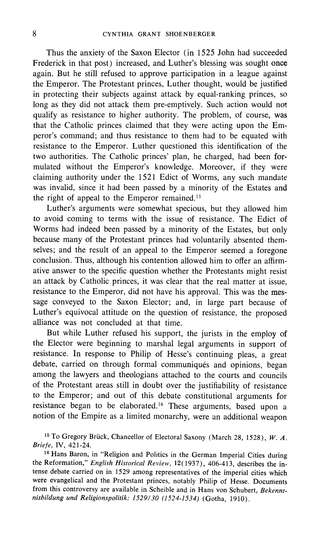**Thus the anxiety of the Saxon Elector (in 1525 John had succeeded Frederick in that post) increased, and Luther's blessing was sought once again. But he still refused to approve participation in a league against the Emperor. The Protestant princes, Luther thought, would be justified in protecting their subjects against attack by equal-ranking princes, so long as they did not attack them pre-emptively. Such action would not qualify as resistance to higher authority. The problem, of course, was that the Catholic princes claimed that they were acting upon the Emperor's command; and thus resistance to them had to be equated with resistance to the Emperor. Luther questioned this identification of the two authorities. The Catholic princes' plan, he charged, had been formulated without the Emperor's knowledge. Moreover, if they were claiming authority under the 1521 Edict of Worms, any such mandate was invalid, since it had been passed by a minority of the Estates and the right of appeal to the Emperor remained.15** 

**Luther's arguments were somewhat specious, but they allowed him to avoid coming to terms with the issue of resistance. The Edict of Worms had indeed been passed by a minority of the Estates, but only because many of the Protestant princes had voluntarily absented themselves; and the result of an appeal to the Emperor seemed a foregone conclusion. Thus, although his contention allowed him to offer an affirmative answer to the specific question whether the Protestants might resist an attack by Catholic princes, it was clear that the real matter at issue, resistance to the Emperor, did not have his approval. This was the mes**sage conveyed to the Saxon Elector; and, in large part because of **Luther's equivocal attitude on the question of resistance, the proposed alliance was not concluded at that time.** 

**But while Luther refused his support, the jurists in the employ of the Elector were beginning to marshal legal arguments in support of resistance. In response to Philip of Hesse's continuing pleas, a great debate, carried on through formal communiques and opinions, began among the lawyers and theologians attached to the courts and councils of the Protestant areas still in doubt over the justifiability of resistance to the Emperor; and out of this debate constitutional arguments for resistance began to be elaborated.16 These arguments, based upon a notion of the Empire as a limited monarchy, were an additional weapon** 

**<sup>15</sup>To Gregory Briick, Chancellor of Electoral Saxony (March 28, 1528), W. A. Briefe, IV, 421-24.** 

**<sup>16</sup>Hans Baron, in "Religion and Politics in the German Imperial Cities during the Reformation," English Historical Review, 12(1937), 406-413, describes the intense debate carried on in 1529 among representatives of the imperial cities which were evangelical and the Protestant princes, notably Philip of Hesse. Documents from this controversy are available in Scheible and in Hans von Schubert, Bekenntnisbildung und Religionspolitik: 1529/30 (1524-1534) (Gotha, 1910).**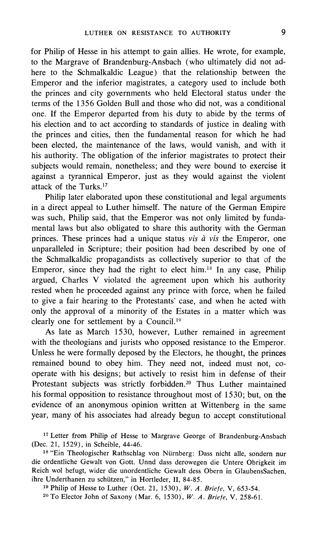**for Philip of Hesse in his attempt to gain allies. He wrote, for example, to the Margrave of Brandenburg-Ansbach (who ultimately did not adhere to the Schmalkaldic League) that the relationship between the Emperor and the inferior magistrates, a category used to include both the princes and city governments who held Electoral status under the terms of the 1356 Golden Bull and those who did not, was a conditional one. If the Emperor departed from his duty to abide by the terms of his election and to act according to standards of justice in dealing with the princes and cities, then the fundamental reason for which he had**  been elected, the maintenance of the laws, would vanish, and with it **his authority. The obligation of the inferior magistrates to protect their subjects would remain, nonetheless; and they were bound to exercise it against a tyrannical Emperor, just as they would against the violent attack of the Turks.17** 

**Philip later elaborated upon these constitutional and legal arguments in a direct appeal to Luther himself. The nature of the German Empire was such, Philip said, that the Emperor was not only limited by fundamental laws but also obligated to share this authority with the German**  princes. These princes had a unique status *vis à vis* the Emperor, one **unparalleled in Scripture; their position had been described by one of the Schmalkaldic propagandists as collectively superior to that of the Emperor, since they had the right to elect him.'8 In any case, Philip argued, Charles V violated the agreement upon which his authority rested when he proceeded against any prince with force, when he failed to give a fair hearing to the Protestants' case, and when he acted with only the approval of a minority of the Estates in a matter which was clearly one for settlement by a Council.19** 

**As late as March 1530, however, Luther remained in agreement with the theologians and jurists who opposed resistance to the Emperor. Unless he were formally deposed by the Electors, he thought, the princes remained bound to obey him. They need not, indeed must not, cooperate with his designs; but actively to resist him in defense of their Protestant subjects was strictly forbidden.20 Thus Luther maintained his formal opposition to resistance throughout most of 1530; but, on the evidence of an anonymous opinion written at Wittenberg in the same year, many of his associates had already begun to accept constitutional** 

**<sup>17</sup>Letter from Philip of Hesse to Margrave George of Brandenburg-Ansbach (Dec. 21, 1529), in Scheible, 44-46.** 

**<sup>18</sup>"Ein Theologischer Rathschlag von Nirnberg: Dass nicht alle, sondern nur die ordentliche Gewalt von Gott. Unnd dass derowegen die Untere Obrigkeit im Reich wol befugt, wider die unordentliche Gewalt dess Obern in GlaubensSachen, ihre Underthanen zu schitzen," in Hortleder, II, 84-85.** 

**19 Philip of Hesse to Luther (Oct. 21, 1530), W. A. Briefe, V, 653-54.** 

**20 To Elector John of Saxony (Mar. 6, 1530), W. A. Briefe, V, 258-61.**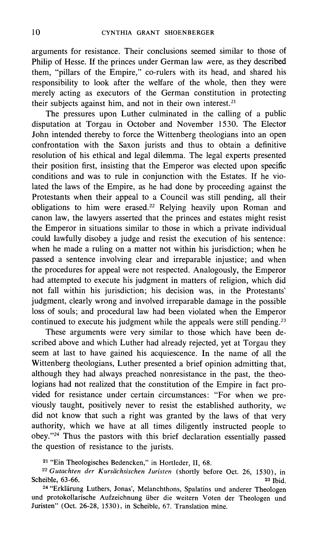**arguments for resistance. Their conclusions seemed similar to those of Philip of Hesse. If the princes under German law were, as they described them, "pillars of the Empire," co-rulers with its head, and shared his responsibility to look after the welfare of the whole, then they were merely acting as executors of the German constitution in protecting their subjects against him, and not in their own interest.2'** 

**The pressures upon Luther culminated in the calling of a public disputation at Torgau in October and November 1530. The Elector John intended thereby to force the Wittenberg theologians into an open confrontation with the Saxon jurists and thus to obtain a definitive resolution of his ethical and legal dilemma. The legal experts presented their position first, insisting that the Emperor was elected upon specific conditions and was to rule in conjunction with the Estates. If he violated the laws of the Empire, as he had done by proceeding against the Protestants when their appeal to a Council was still pending, all their obligations to him were erased.22 Relying heavily upon Roman and canon law, the lawyers asserted that the princes and estates might resist the Emperor in situations similar to those in which a private individual could lawfully disobey a judge and resist the execution of his sentence: when he made a ruling on a matter not within his jurisdiction; when he passed a sentence involving clear and irreparable injustice; and when the procedures for appeal were not respected. Analogously, the Emperor had attempted to execute his judgment in matters of religion, which did not fall within his jurisdiction; his decision was, in the Protestants' judgment, clearly wrong and involved irreparable damage in the possible loss of souls; and procedural law had been violated when the Emperor continued to execute his judgment while the appeals were still pending.23** 

**These arguments were very similar to those which have been described above and which Luther had already rejected, yet at Torgau they seem at last to have gained his acquiescence. In the name of all the Wittenberg theologians, Luther presented a brief opinion admitting that, although they had always preached nonresistance in the past, the theologians had not realized that the constitution of the Empire in fact provided for resistance under certain circumstances: "For when we previously taught, positively never to resist the established authority, we did not know that such a right was granted by the laws of that very authority, which we have at all times diligently instructed people to obey."24 Thus the pastors with this brief declaration essentially passed the question of resistance to the jurists.** 

**<sup>21</sup>"Ein Theologisches Bedencken," in Hortleder, II, 68.** 

**<sup>22</sup> Gutachten der Kursichsischen Juristen (shortly before Oct. 26, 1530), in Scheible, 63-66. 23 Ibid.** 

**<sup>24 &</sup>quot;Erklirung Luthers, Jonas', Melanchthons, Spalatins und anderer Theologen und protokollarische Aufzeichnung fiber die weitern Voten der Theologen und Juristen" (Oct. 26-28, 1530), in Scheible, 67. Translation mine.**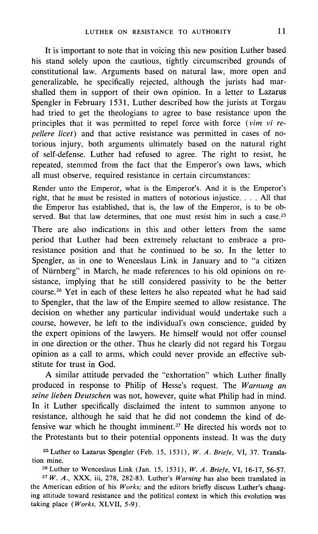**It is important to note that in voicing this new position Luther based his stand solely upon the cautious, tightly circumscribed grounds of constitutional law. Arguments based on natural law, more open and generalizable, he specifically rejected, although the jurists had marshalled them in support of their own opinion. In a letter to Lazarus Spengler in February 1531, Luther described how the jurists at Torgau had tried to get the theologians to agree to base resistance upon the**  principles that it was permitted to repel force with force (vim vi re**pellere licet) and that active resistance was permitted in cases of notorious injury, both arguments ultimately based on the natural right of self-defense. Luther had refused to agree. The right to resist, he repeated, stemmed from the fact that the Emperor's own laws, which all must observe, required resistance in certain circumstances:** 

**Render unto the Emperor, what is the Emperor's. And it is the Emperor's right, that he must be resisted in matters of notorious injustice. . . . All that the Emperor has established, that is, the law of the Emperor, is to be observed. But that law determines, that one must resist him in such a case.25** 

**There are also indications in this and other letters from the same period that Luther had been extremely reluctant to embrace a proresistance position and that he continued to be so. In the letter to Spengler, as in one to Wenceslaus Link in January and to "a citizen of Ntirnberg" in March, he made references to his old opinions on resistance, implying that he still considered passivity to be the better course.26 Yet in each of these letters he also repeated what he had said to Spengler, that the law of the Empire seemed to allow resistance. The decision on whether any particular individual would undertake such a course, however, he left to the individual's own conscience, guided by the expert opinions of the lawyers. He himself would not offer counsel in one direction or the other. Thus he clearly did not regard his Torgau opinion as a call to arms, which could never provide an effective substitute for trust in God.** 

**A similar attitude pervaded the "exhortation" which Luther finally produced in response to Philip of Hesse's request. The Warnung an seine lieben Deutschen was not, however, quite what Philip had in mind. In it Luther specifically disclaimed the intent to summon anyone to resistance, although he said that he did not condemn the kind of defensive war which he thought imminent.27 He directed his words not to the Protestants but to their potential opponents instead. It was the duty** 

**25Luther to Lazarus Spengler (Feb. 15, 1531), W. A. Briefe, VI, 37. Translation mine.** 

**<sup>26</sup>Luther to Wenceslaus Link (Jan. 15, 1531), W. A. Briefe, VI, 16-17, 56-57. <sup>27</sup>W. A., XXX, iii, 278, 282-83. Luther's Warning has also been translated in the American edition of his Works; and the editors briefly discuss Luther's changing attitude toward resistance and the political context in which this evolution was taking place (Works, XLVII, 5-9).**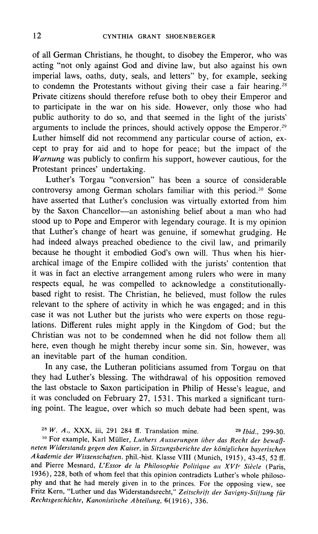**of all German Christians, he thought, to disobey the Emperor, who was acting "not only against God and divine law, but also against his own imperial laws, oaths, duty, seals, and letters" by, for example, seeking to condemn the Protestants without giving their case a fair hearing.28 Private citizens should therefore refuse both to obey their Emperor and to participate in the war on his side. However, only those who had public authority to do so, and that seemed in the light of the jurists' arguments to include the princes, should actively oppose the Emperor.29 Luther himself did not recommend any particular course of action, except to pray for aid and to hope for peace; but the impact of the Warnung was publicly to confirm his support, however cautious, for the Protestant princes' undertaking.** 

**Luther's Torgau "conversion" has been a source of considerable controversy among German scholars familiar with this period.30 Some have asserted that Luther's conclusion was virtually extorted from him by the Saxon Chancellor-an astonishing belief about a man who had stood up to Pope and Emperor with legendary courage. It is my opinion that Luther's change of heart was genuine, if somewhat grudging. He had indeed always preached obedience to the civil law, and primarily because he thought it embodied God's own will. Thus when his hierarchical image of the Empire collided with the jurists' contention that it was in fact an elective arrangement among rulers who were in many respects equal, he was compelled to acknowledge a constitutionallybased right to resist. The Christian, he believed, must follow the rules relevant to the sphere of activity in which he was engaged; and in this case it was not Luther but the jurists who were experts on those regulations. Different rules might apply in the Kingdom of God; but the Christian was not to be condemned when he did not follow them all here, even though he might thereby incur some sin. Sin, however, was an inevitable part of the human condition.** 

**In any case, the Lutheran politicians assumed from Torgau on that they had Luther's blessing. The withdrawal of his opposition removed the last obstacle to Saxon participation in Philip of Hesse's league, and it was concluded on February 27, 1531. This marked a significant turning point. The league, over which so much debate had been spent, was** 

**<sup>28</sup>W. A., XXX, iii, 291 284 ff. Translation mine. 29 Ibid., 299-30.** 

**30 For example, Karl Miller, Luthers Ausserungen iiber das Recht der bewagneten Widerstands gegen den Kaiser, in Sitzungsberichte der k6niglichen bayerischen Akademie der Wissenschaften. phil.-hist. Klasse VIII (Munich, 1915), 43-45, 52 ff.**  and Pierre Mesnard, L'Essor de la Philosophie Politique au XVI<sup>e</sup> Siècle (Paris, **1936), 228, both of whom feel that this opinion contradicts Luther's whole philosophy and that he had merely given in to the princes. For the opposing view, see**  Fritz Kern, "Luther und das Widerstandsrecht," Zeitschrift der Savigny-Stiftung für **Rechtsgeschichte, Kanonistische Abteilung, 6(1916), 336.**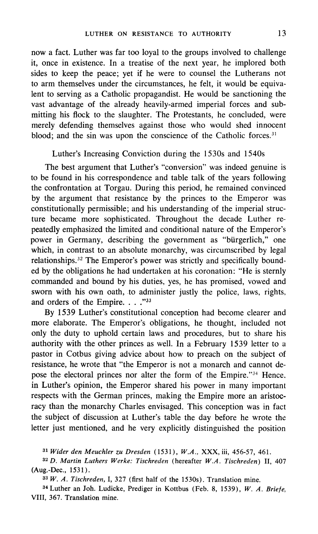**now a fact. Luther was far too loyal to the groups involved to challenge it, once in existence. In a treatise of the next year, he implored both sides to keep the peace; yet if he were to counsel the Lutherans not to arm themselves under the circumstances, he felt, it would be equivalent to serving as a Catholic propagandist. He would be sanctioning the vast advantage of the already heavily-armed imperial forces and submitting his flock to the slaughter. The Protestants, he concluded, were merely defending themselves against those who would shed innocent blood; and the sin was upon the conscience of the Catholic forces.31** 

#### **Luther's Increasing Conviction during the 1530s and 1540s**

**The best argument that Luther's "conversion" was indeed genuine is to be found in his correspondence and table talk of the years following the confrontation at Torgau. During this period, he remained convinced by the argument that resistance by the princes to the Emperor was constitutionally permissible; and his understanding of the imperial struc**ture became more sophisticated. Throughout the decade Luther re**peatedly emphasized the limited and conditional nature of the Emperor's power in Germany, describing the government as "biirgerlich," one**  which, in contrast to an absolute monarchy, was circumscribed by legal **relationships.32 The Emperor's power was strictly and specifically bounded by the obligations he had undertaken at his coronation: "He is sternly commanded and bound by his duties, yes, he has promised, vowed and sworn with his own oath, to administer justly the police, laws, rights, and orders of the Empire. . .."33** 

**By 1539 Luther's constitutional conception had become clearer and more elaborate. The Emperor's obligations, he thought, included not only the duty to uphold certain laws and procedures, but to share his authority with the other princes as well. In a February 1539 letter to a pastor in Cotbus giving advice about how to preach on the subject of resistance, he wrote that "the Emperor is not a monarch and cannot depose the electoral princes nor alter the form of the Empire."34 Hence, in Luther's opinion, the Emperor shared his power in many important respects with the German princes, making the Empire more an aristocracy than the monarchy Charles envisaged. This conception was in fact the subject of discussion at Luther's table the day before he wrote the letter just mentioned, and he very explicitly distinguished the position** 

**31 Wider den Meuchler zu Dresden (1531), W.A., XXX, iii, 456-57, 461.** 

**<sup>32</sup>D. Martin Luthers Werke: Tischreden (hereafter W.A. Tischreden) II, 407 (Aug.-Dec., 1531).** 

**<sup>33</sup>W. A. Tischreden, I, 327 (first half of the 1530s). Translation mine.** 

**<sup>34</sup>Luther an Joh. Ludicke, Prediger in Kottbus (Feb. 8, 1539), W. A. Briefe, VIII, 367. Translation mine.**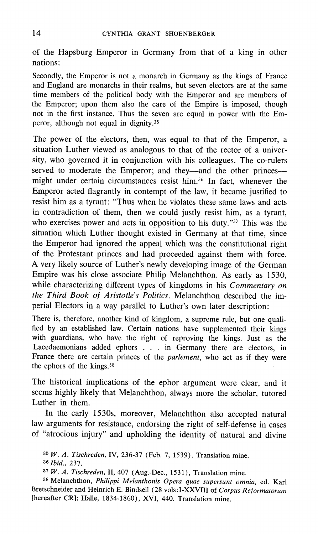**of the Hapsburg Emperor in Germany from that of a king in other nations:** 

**Secondly, the Emperor is not a monarch in Germany as the kings of France and England are monarchs in their realms, but seven electors are at the same time members of the political body with the Emperor and are members of the Emperor; upon them also the care of the Empire is imposed, though not in the first instance. Thus the seven are equal in power with the Emperor, although not equal in dignity.35** 

**The power of the electors, then, was equal to that of the Emperor, a situation Luther viewed as analogous to that of the rector of a university, who governed it in conjunction with his colleagues. The co-rulers**  served to moderate the Emperor; and they-and the other princes**might under certain circumstances resist him.36 In fact, whenever the Emperor acted flagrantly in contempt of the law, it became justified to resist him as a tyrant: "Thus when he violates these same laws and acts in contradiction of them, then we could justly resist him, as a tyrant, who exercises power and acts in opposition to his duty."37 This was the situation which Luther thought existed in Germany at that time, since the Emperor had ignored the appeal which was the constitutional right of the Protestant princes and had proceeded against them with force. A very likely source of Luther's newly developing image of the German Empire was his close associate Philip Melanchthon. As early as 1530, while characterizing different types of kingdoms in his Commentary on the Third Book of Aristotle's Politics, Melanchthon described the imperial Electors in a way parallel to Luther's own later description:** 

**There is, therefore, another kind of kingdom, a supreme rule, but one qualified by an established law. Certain nations have supplemented their kings with guardians, who have the right of reproving the kings. Just as the Lacedaemonians added ephors . . . in Germany there are electors, in France there are certain princes of the parlement, who act as if they were the ephors of the kings.38** 

**The historical implications of the ephor argument were clear, and it seems highly likely that Melanchthon, always more the scholar, tutored Luther in them.** 

**In the early 1530s, moreover, Melanchthon also accepted natural law arguments for resistance, endorsing the right of self-defense in cases of "atrocious injury" and upholding the identity of natural and divine** 

**<sup>38</sup>Melanchthon, Philippi Melanthonis Opera quae supersunt omnia, ed. Karl Bretschneider and Heinrich E. Bindseil (28 vols:I-XXVIII of Corpus Reformatorum [hereafter CR]; Halle, 1834-1860), XVI, 440. Translation mine.** 

**<sup>35</sup>W. A. Tischreden, IV, 236-37 (Feb. 7, 1539). Translation mine.** 

**<sup>36</sup> Ibid., 237.** 

**<sup>37</sup>W. A. Tischreden, II, 407 (Aug.-Dec., 1531), Translation mine.**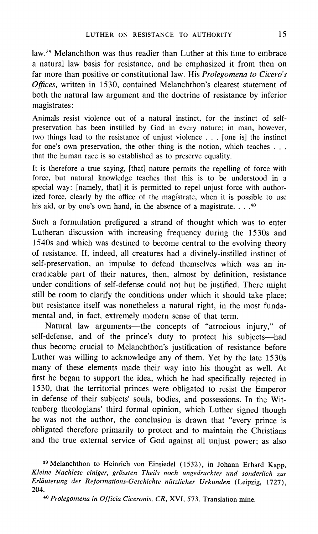**law.39 Melanchthon was thus readier than Luther at this time to embrace a natural law basis for resistance, and he emphasized it from then on far more than positive or constitutional law. His Prolegomena to Cicero's Offices, written in 1530, contained Melanchthon's clearest statement of both the natural law argument and the doctrine of resistance by inferior magistrates:** 

**Animals resist violence out of a natural instinct, for the instinct of selfpreservation has been instilled by God in every nature; in man, however, two things lead to the resistance of unjust violence . . . [one is] the instinct for one's own preservation, the other thing is the notion, which teaches . . . that the human race is so established as to preserve equality.** 

**It is therefore a true saying, [that] nature permits the repelling of force with force, but natural knowledge teaches that this is to be understood in a**  special way: [namely, that] it is permitted to repel unjust force with author**ized force, clearly by the office of the magistrate, when it is possible to use**  his aid, or by one's own hand, in the absence of a magistrate. . . .<sup>40</sup>

**Such a formulation prefigured a strand of thought which was to enter Lutheran discussion with increasing frequency during the 1530s and 1540s and which was destined to become central to the evolving theory of resistance. If, indeed, all creatures had a divinely-instilled instinct of self-preservation, an impulse to defend themselves which was an ineradicable part of their natures, then, almost by definition, resistance under conditions of self-defense could not but be justified. There might still be room to clarify the conditions under which it should take place; but resistance itself was nonetheless a natural right, in the most fundamental and, in fact, extremely modern sense of that term.** 

Natural law arguments—the concepts of "atrocious injury," of self-defense, and of the prince's duty to protect his subjects-had **thus become crucial to Melanchthon's justification of resistance before Luther was willing to acknowledge any of them. Yet by the late 1530s many of these elements made their way into his thought as well. At first he began to support the idea, which he had specifically rejected in 1530, that the territorial princes were obligated to resist the Emperor in defense of their subjects' souls, bodies, and possessions. In the Wittenberg theologians' third formal opinion, which Luther signed though he was not the author, the conclusion is drawn that "every prince is obligated therefore primarily to protect and to maintain the Christians and the true external service of God against all unjust power; as also** 

**39Melanchthon to Heinrich von Einsiedel (1532), in Johann Erhard Kapp, Kleine Nachlese einiger, grissten Theils noch ungedruckter und sonderlich zur Erlduterung der Reformations-Geschichte niitzlicher Urkunden (Leipzig, 1727), 204.** 

**40 Prolegomena in Officia Ciceronis, CR, XVI, 573. Translation mine.**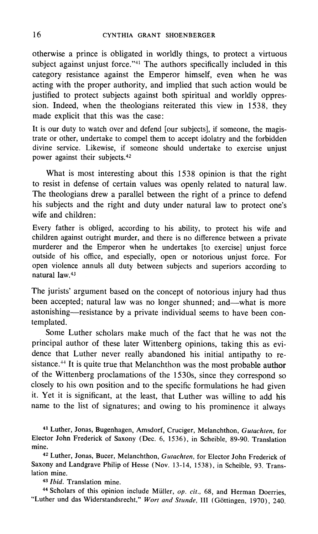**otherwise a prince is obligated in worldly things, to protect a virtuous subject against unjust force."41 The authors specifically included in this category resistance against the Emperor himself, even when he was acting with the proper authority, and implied that such action would be justified to protect subjects against both spiritual and worldly oppression. Indeed, when the theologians reiterated this view in 1538, they made explicit that this was the case:** 

**It is our duty to watch over and defend [our subjects], if someone, the magistrate or other, undertake to compel them to accept idolatry and the forbidden divine service. Likewise, if someone should undertake to exercise unjust power against their subjects.42** 

**What is most interesting about this 1538 opinion is that the right to resist in defense of certain values was openly related to natural law. The theologians drew a parallel between the right of a prince to defend his subjects and the right and duty under natural law to protect one's wife and children:** 

**Every father is obliged, according to his ability, to protect his wife and children against outright murder, and there is no difference between a private murderer and the Emperor when he undertakes [to exercise] unjust force outside of his office, and especially, open or notorious unjust force. For open violence annuls all duty between subjects and superiors according to natural law.43** 

**The jurists' argument based on the concept of notorious injury had thus**  been accepted; natural law was no longer shunned; and—what is more **astonishing-resistance by a private individual seems to have been contemplated.** 

**Some Luther scholars make much of the fact that he was not the principal author of these later Wittenberg opinions, taking this as evidence that Luther never really abandoned his initial antipathy to resistance.44 It is quite true that Melanchthon was the most probable author of the Wittenberg proclamations of the 1530s, since they correspond so closely to his own position and to the specific formulations he had given it. Yet it is significant, at the least, that Luther was willing to add his name to the list of signatures; and owing to his prominence it always** 

**<sup>41</sup>Luther, Jonas, Bugenhagen, Amsdorf, Cruciger, Melanchthon, Gutachten, for Elector John Frederick of Saxony (Dec. 6, 1536), in Scheible, 89-90. Translation mine.** 

**<sup>42</sup>Luther, Jonas, Bucer, Melanchthon, Gutachten, for Elector John Frederick of Saxony and Landgrave Philip of Hesse (Nov. 13-14, 1538), in Scheible, 93. Translation mine.** 

**43 Ibid. Translation mine.** 

**44 Scholars of this opinion include Muller, op. cit., 68, and Herman Doerries,**  "Luther und das Widerstandsrecht," Wort and Stunde, III (Göttingen, 1970), 240.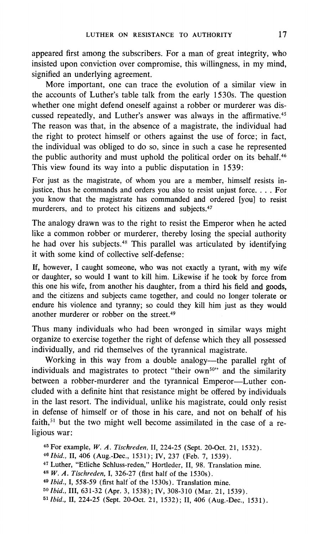**appeared first among the subscribers. For a man of great integrity, who insisted upon conviction over compromise, this willingness, in my mind, signified an underlying agreement.** 

**More important, one can trace the evolution of a similar view in the accounts of Luther's table talk from the early 1530s. The question whether one might defend oneself against a robber or murderer was discussed repeatedly, and Luther's answer was always in the affirmative.45 The reason was that, in the absence of a magistrate, the individual had the right to protect himself or others against the use of force; in fact, the individual was obliged to do so, since in such a case he represented the public authority and must uphold the political order on its behalf.46 This view found its way into a public disputation in 1539:** 

**For just as the magistrate, of whom you are a member, himself resists injustice, thus he commands and orders you also to resist unjust force . . . For you know that the magistrate has commanded and ordered [you] to resist murderers, and to protect his citizens and subjects.47** 

**The analogy drawn was to the right to resist the Emperor when he acted like a common robber or murderer, thereby losing the special authority he had over his subjects.48 This parallel was articulated by identifying it with some kind of collective self-defense:** 

**If, however, I caught someone, who was not exactly a tyrant, with my wife or daughter, so would I want to kill him. Likewise if he took by force from this one his wife, from another his daughter, from a third his field and goods, and the citizens and subjects came together, and could no longer tolerate or endure his violence and tyranny; so could they kill him just as they would another murderer or robber on the street.49** 

**Thus many individuals who had been wronged in similar ways might organize to exercise together the right of defense which they all possessed individually, and rid themselves of the tyrannical magistrate.** 

Working in this way from a double analogy—the parallel rght of individuals and magistrates to protect "their own<sup>50</sup>" and the similarity **between a robber-murderer and the tyrannical Emperor-Luther concluded with a definite hint that resistance might be offered by individuals in the last resort. The individual, unlike his magistrate, could only resist in defense of himself or of those in his care, and not on behalf of his**  faith,<sup>51</sup> but the two might well become assimilated in the case of a re**ligious war:** 

**<sup>45</sup>For example, W. A. Tischreden, II, 224-25 (Sept. 20-Oct. 21, 1532).** 

- **46 Ibid., II, 406 (Aug.-Dec., 1531); IV, 237 (Feb. 7, 1539).**
- **<sup>47</sup>Luther, "Etliche Schluss-reden," Hortleder, II, 98. Translation mine.**
- **<sup>48</sup>W. A. Tischreden, I, 326-27 (first half of the 1530s).**
- **<sup>49</sup>Ibid., I, 558-59 (first half of the 1530s). Translation mine.**
- **50 Ibid., III, 631-32 (Apr. 3, 1538); IV, 308-310 (Mar. 21, 1539).**

**<sup>51</sup> Ibid., II, 224-25 (Sept. 20-Oct. 21, 1532); II, 406 (Aug.-Dec., 1531).**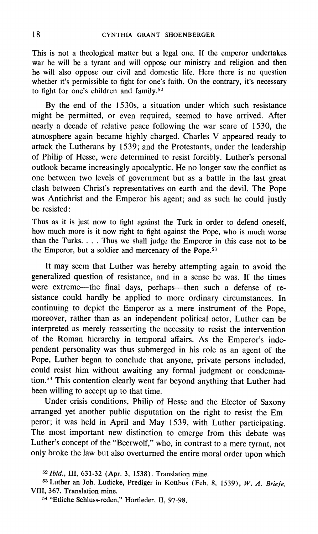**This is not a theological matter but a legal one. If the emperor undertakes war he will be a tyrant and will oppose our ministry and religion and then he will also oppose our civil and domestic life. Here there is no question whether it's permissible to fight for one's faith. On the contrary, it's necessary to fight for one's children and family.52** 

**By the end of the 1530s, a situation under which such resistance might be permitted, or even required, seemed to have arrived. After nearly a decade of relative peace following the war scare of 1530, the atmosphere again became highly charged. Charles V appeared ready to attack the Lutherans by 1539; and the Protestants, under the leadership of Philip of Hesse, were determined to resist forcibly. Luther's personal outlook became increasingly apocalyptic. He no longer saw the conflict as one between two levels of government but as a battle in the last great clash between Christ's representatives on earth and the devil. The Pope was Antichrist and the Emperor his agent; and as such he could justly be resisted:** 

**Thus as it is just now to fight against the Turk in order to defend oneself, how much more is it now right to fight against the Pope, who is much worse than the Turks... . . Thus we shall judge the Emperor in this case not to be the Emperor, but a soldier and mercenary of the Pope.53** 

**It may seem that Luther was hereby attempting again to avoid the generalized question of resistance, and in a sense he was. If the times**  were extreme—the final days, perhaps—then such a defense of re**sistance could hardly be applied to more ordinary circumstances. In continuing to depict the Emperor as a mere instrument of the Pope, moreover, rather than as an independent political actor, Luther can be interpreted as merely reasserting the necessity to resist the intervention of the Roman hierarchy in temporal affairs. As the Emperor's independent personality was thus submerged in his role as an agent of the Pope, Luther began to conclude that anyone, private persons included, could resist him without awaiting any formal judgment or condemnation.54 This contention clearly went far beyond anything that Luther had been willing to accept up to that time.** 

**Under crisis conditions, Philip of Hesse and the Elector of Saxony arranged yet another public disputation on the right to resist the Em peror; it was held in April and May 1539, with Luther participating. The most important new distinction to emerge from this debate was Luther's concept of the "Beerwolf," who, in contrast to a mere tyrant, not only broke the law but also overturned the entire moral order upon which** 

**<sup>52</sup>Ibid., III, 631-32 (Apr. 3, 1538). Translation mine.** 

**53 Luther an Joh. Ludicke, Prediger in Kottbus (Feb. 8, 1539), W. A. Briefe, VIII, 367. Translation mine.** 

**54 "Etliche Schluss-reden," Hortleder, II, 97-98.**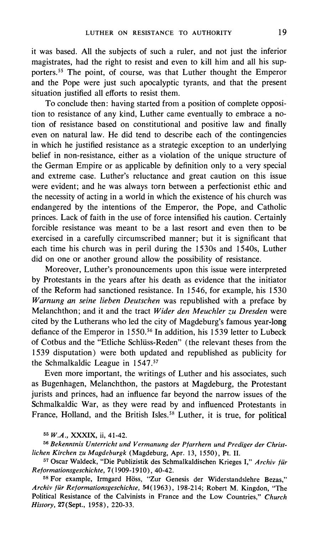**it was based. All the subjects of such a ruler, and not just the inferior magistrates, had the right to resist and even to kill him and all his supporters.55 The point, of course, was that Luther thought the Emperor and the Pope were just such apocalyptic tyrants, and that the present situation justified all efforts to resist them.** 

**To conclude then: having started from a position of complete opposition to resistance of any kind, Luther came eventually to embrace a notion of resistance based on constitutional and positive law and finally even on natural law. He did tend to describe each of the contingencies in which he justified resistance as a strategic exception to an underlying belief in non-resistance, either as a violation of the unique structure of the German Empire or as applicable by definition only to a very special and extreme case. Luther's reluctance and great caution on this issue were evident; and he was always torn between a perfectionist ethic and the necessity of acting in a world in which the existence of his church was endangered by the intentions of the Emperor, the Pope, and Catholic princes. Lack of faith in the use of force intensified his caution. Certainly forcible resistance was meant to be a last resort and even then to be exercised in a carefully circumscribed manner; but it is significant that each time his church was in peril during the 1530s and 1540s, Luther did on one or another ground allow the possibility of resistance.** 

**Moreover, Luther's pronouncements upon this issue were interpreted by Protestants in the years after his death as evidence that the initiator of the Reform had sanctioned resistance. In 1546, for example, his 1530 Warnung an seine lieben Deutschen was republished with a preface by Melanchthon; and it and the tract Wider den Meuchler zu Dresden were cited by the Lutherans who led the city of Magdeburg's famous year-long defiance of the Emperor in 1550.56 In addition, his 1539 letter to Lubeck of Cotbus and the "Etliche Schliiss-Reden" (the relevant theses from the 1539 disputation) were both updated and republished as publicity for the Schmalkaldic League in 1547.57** 

**Even more important, the writings of Luther and his associates, such as Bugenhagen, Melanchthon, the pastors at Magdeburg, the Protestant jurists and princes, had an influence far beyond the narrow issues of the Schmalkaldic War, as they were read by and influenced Protestants in**  France, Holland, and the British Isles.<sup>58</sup> Luther, it is true, for political

**56 Bekenntnis Unterricht und Vermanung der Pfarrhern und Prediger der Christlichen Kirchen zu Magdeburgk (Magdeburg, Apr. 13, 1550), Pt. II.** 

**57 Oscar Waldeck, "Die Publizistik des Schmalkaldischen Krieges I," Archiv fir Reformationsgeschichte, 7(1909-1910), 40-42.** 

<sup>58</sup> For example, Irmgard Höss, "Zur Genesis der Widerstandslehre Bezas," **Archiv fir Reformationsgeschichte, 54(1963), 198-214; Robert M. Kingdon, "The Political Resistance of the Calvinists in France and the Low Countries," Church History, 27(Sept., 1958), 220-33.** 

**<sup>55</sup> W.A., XXXIX, ii, 41-42.**